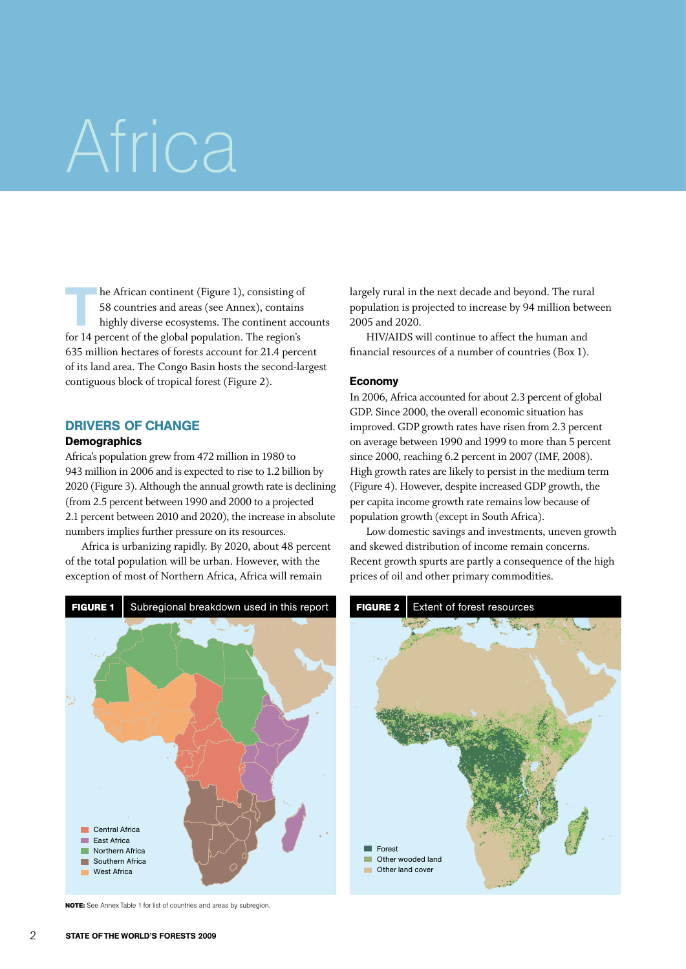# Africa Africa

The African continent (Figure 1), consisting of<br>
58 countries and areas (see Annex), contains<br>
highly diverse ecosystems. The continent accounts<br>
for 14 percent of the global population. The region's 58 countries and areas (see Annex), contains for 14 percent of the global population. The region's 635 million hectares of forests account for 21.4 percent of its land area. The Congo Basin hosts the second-largest contiguous block of tropical forest (Figure 2).

#### Drivers of change

#### **Demographics**

Africa's population grew from 472 million in 1980 to 943 million in 2006 and is expected to rise to 1.2 billion by 2020 (Figure 3). Although the annual growth rate is declining (from 2.5 percent between 1990 and 2000 to a projected 2.1 percent between 2010 and 2020), the increase in absolute numbers implies further pressure on its resources.

Africa is urbanizing rapidly. By 2020, about 48 percent of the total population will be urban. However, with the exception of most of Northern Africa, Africa will remain



**NOTE:** See Annex Table 1 for list of countries and areas by subregion.

largely rural in the next decade and beyond. The rural population is projected to increase by 94 million between 2005 and 2020.

HIV/AIDS will continue to affect the human and financial resources of a number of countries (Box 1).

#### Economy

In 2006, Africa accounted for about 2.3 percent of global GDP. Since 2000, the overall economic situation has improved. GDP growth rates have risen from 2.3 percent on average between 1990 and 1999 to more than 5 percent since 2000, reaching 6.2 percent in 2007 (IMF, 2008). High growth rates are likely to persist in the medium term (Figure 4). However, despite increased GDP growth, the per capita income growth rate remains low because of population growth (except in South Africa).

Low domestic savings and investments, uneven growth and skewed distribution of income remain concerns. Recent growth spurts are partly a consequence of the high prices of oil and other primary commodities.

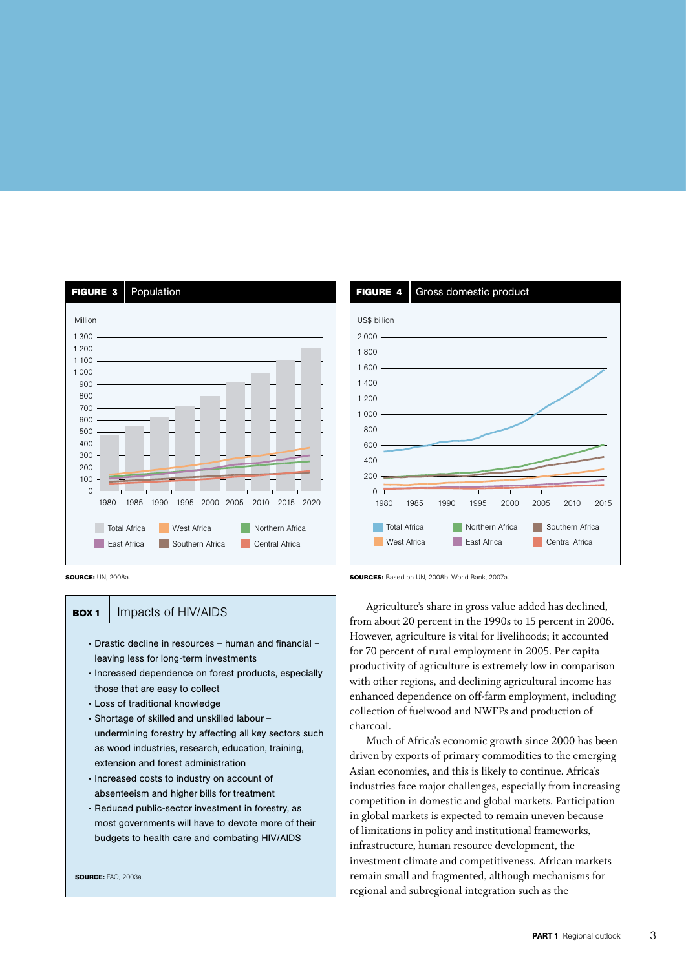



#### **BOX 1** Impacts of HIV/AIDS

- • Drastic decline in resources human and financial leaving less for long-term investments
- • Increased dependence on forest products, especially those that are easy to collect
- • Loss of traditional knowledge
- • Shortage of skilled and unskilled labour undermining forestry by affecting all key sectors such as wood industries, research, education, training, extension and forest administration
- • Increased costs to industry on account of absenteeism and higher bills for treatment
- • Reduced public-sector investment in forestry, as most governments will have to devote more of their budgets to health care and combating HIV/AIDS

**source:** FAO, 2003a.





Agriculture's share in gross value added has declined, from about 20 percent in the 1990s to 15 percent in 2006. However, agriculture is vital for livelihoods; it accounted for 70 percent of rural employment in 2005. Per capita productivity of agriculture is extremely low in comparison with other regions, and declining agricultural income has enhanced dependence on off-farm employment, including collection of fuelwood and NWFPs and production of charcoal.

Much of Africa's economic growth since 2000 has been driven by exports of primary commodities to the emerging Asian economies, and this is likely to continue. Africa's industries face major challenges, especially from increasing competition in domestic and global markets. Participation in global markets is expected to remain uneven because of limitations in policy and institutional frameworks, infrastructure, human resource development, the investment climate and competitiveness. African markets remain small and fragmented, although mechanisms for regional and subregional integration such as the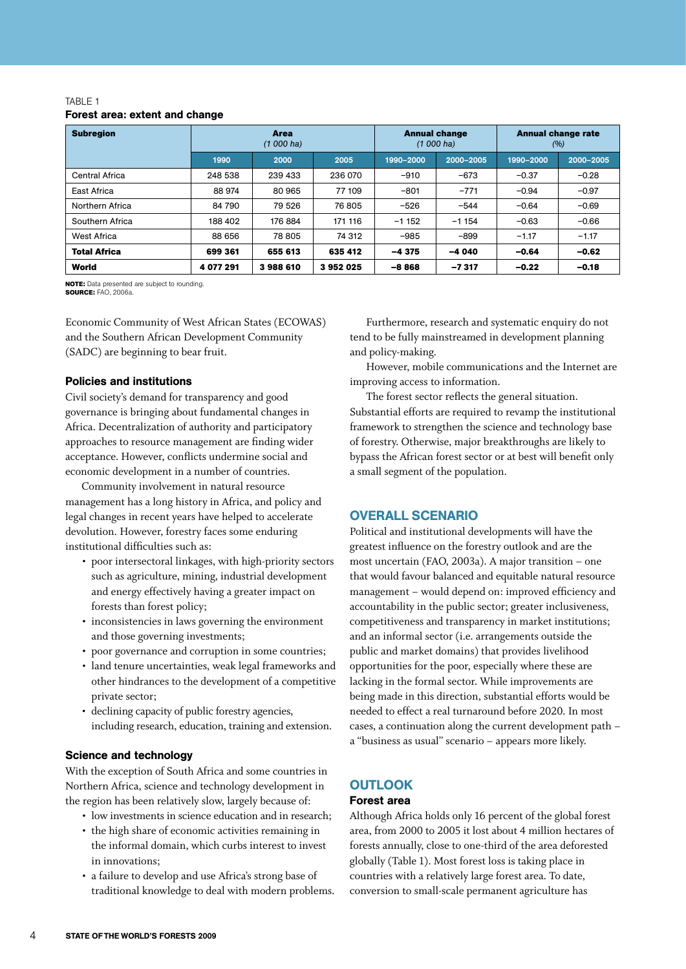#### TARI F 1 Forest area: extent and change

| <b>Subregion</b>    | Area<br>$(1000)$ ha) |         | <b>Annual change</b><br>$(1000)$ ha) |           | <b>Annual change rate</b><br>(%) |           |           |
|---------------------|----------------------|---------|--------------------------------------|-----------|----------------------------------|-----------|-----------|
|                     | 1990                 | 2000    | 2005                                 | 1990-2000 | 2000-2005                        | 1990-2000 | 2000-2005 |
| Central Africa      | 248 538              | 239 433 | 236 070                              | $-910$    | $-673$                           | $-0.37$   | $-0.28$   |
| East Africa         | 88 974               | 80 965  | 77 109                               | $-801$    | $-771$                           | $-0.94$   | $-0.97$   |
| Northern Africa     | 84 790               | 79 526  | 76 805                               | $-526$    | $-544$                           | $-0.64$   | $-0.69$   |
| Southern Africa     | 188 402              | 176 884 | 171 116                              | $-1152$   | $-1154$                          | $-0.63$   | $-0.66$   |
| West Africa         | 88 656               | 78 805  | 74 312                               | $-985$    | $-899$                           | $-1.17$   | $-1.17$   |
| <b>Total Africa</b> | 699 361              | 655 613 | 635 412                              | $-4375$   | $-4040$                          | $-0.64$   | $-0.62$   |
| World               | 4 077 291            | 3988610 | 3952025                              | $-8868$   | $-7317$                          | $-0.22$   | $-0.18$   |

**NOTE:** Data presented are subject to rounding

**source:** FAO, 2006a.

Economic Community of West African States (ECOWAS) and the Southern African Development Community (SADC) are beginning to bear fruit.

#### Policies and institutions

Civil society's demand for transparency and good governance is bringing about fundamental changes in Africa. Decentralization of authority and participatory approaches to resource management are finding wider acceptance. However, conflicts undermine social and economic development in a number of countries.

Community involvement in natural resource management has a long history in Africa, and policy and legal changes in recent years have helped to accelerate devolution. However, forestry faces some enduring institutional difficulties such as:

- poor intersectoral linkages, with high-priority sectors such as agriculture, mining, industrial development and energy effectively having a greater impact on forests than forest policy;
- inconsistencies in laws governing the environment and those governing investments;
- poor governance and corruption in some countries;
- land tenure uncertainties, weak legal frameworks and other hindrances to the development of a competitive private sector;
- • declining capacity of public forestry agencies, including research, education, training and extension.

#### Science and technology

With the exception of South Africa and some countries in Northern Africa, science and technology development in the region has been relatively slow, largely because of:

- low investments in science education and in research;
- the high share of economic activities remaining in the informal domain, which curbs interest to invest in innovations;
- a failure to develop and use Africa's strong base of traditional knowledge to deal with modern problems.

Furthermore, research and systematic enquiry do not tend to be fully mainstreamed in development planning and policy-making.

However, mobile communications and the Internet are improving access to information.

The forest sector reflects the general situation. Substantial efforts are required to revamp the institutional framework to strengthen the science and technology base of forestry. Otherwise, major breakthroughs are likely to bypass the African forest sector or at best will benefit only a small segment of the population.

## Overall scenario

Political and institutional developments will have the greatest influence on the forestry outlook and are the most uncertain (FAO, 2003a). A major transition – one that would favour balanced and equitable natural resource management – would depend on: improved efficiency and accountability in the public sector; greater inclusiveness, competitiveness and transparency in market institutions; and an informal sector (i.e. arrangements outside the public and market domains) that provides livelihood opportunities for the poor, especially where these are lacking in the formal sector. While improvements are being made in this direction, substantial efforts would be needed to effect a real turnaround before 2020. In most cases, a continuation along the current development path – a "business as usual" scenario – appears more likely.

# **OUTLOOK**

### Forest area

Although Africa holds only 16 percent of the global forest area, from 2000 to 2005 it lost about 4 million hectares of forests annually, close to one-third of the area deforested globally (Table 1). Most forest loss is taking place in countries with a relatively large forest area. To date, conversion to small-scale permanent agriculture has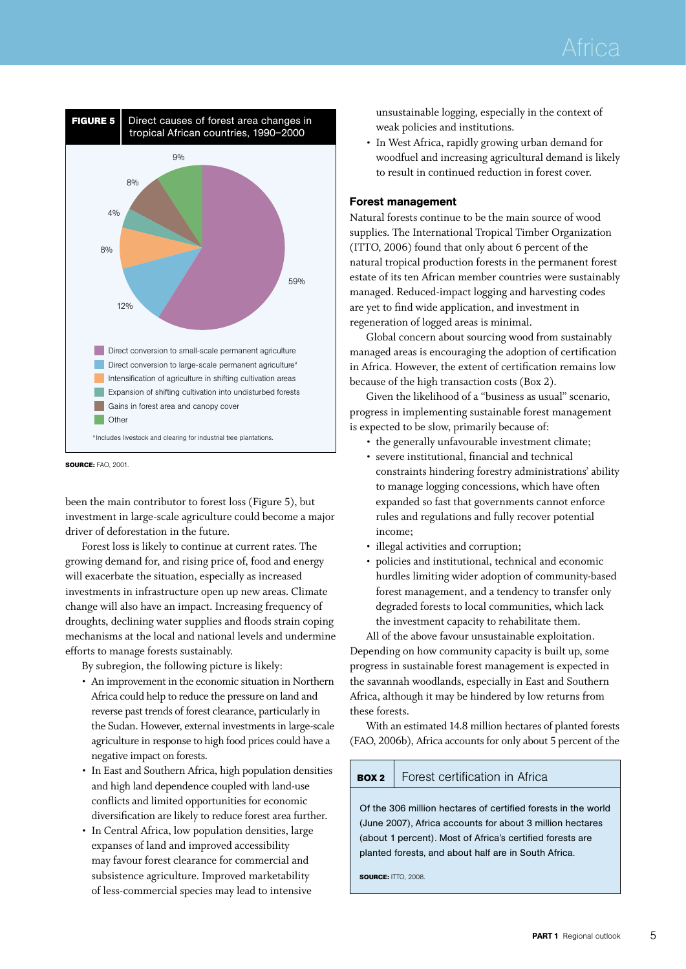

**Source:** FAO, 2001.

been the main contributor to forest loss (Figure 5), but investment in large-scale agriculture could become a major driver of deforestation in the future.

Forest loss is likely to continue at current rates. The growing demand for, and rising price of, food and energy will exacerbate the situation, especially as increased investments in infrastructure open up new areas. Climate change will also have an impact. Increasing frequency of droughts, declining water supplies and floods strain coping mechanisms at the local and national levels and undermine efforts to manage forests sustainably.

By subregion, the following picture is likely:

- An improvement in the economic situation in Northern Africa could help to reduce the pressure on land and reverse past trends of forest clearance, particularly in the Sudan. However, external investments in large-scale agriculture in response to high food prices could have a negative impact on forests.
- In East and Southern Africa, high population densities and high land dependence coupled with land-use conflicts and limited opportunities for economic diversification are likely to reduce forest area further.
- In Central Africa, low population densities, large expanses of land and improved accessibility may favour forest clearance for commercial and subsistence agriculture. Improved marketability of less-commercial species may lead to intensive

unsustainable logging, especially in the context of weak policies and institutions.

• In West Africa, rapidly growing urban demand for woodfuel and increasing agricultural demand is likely to result in continued reduction in forest cover.

#### Forest management

Natural forests continue to be the main source of wood supplies. The International Tropical Timber Organization (ITTO, 2006) found that only about 6 percent of the natural tropical production forests in the permanent forest estate of its ten African member countries were sustainably managed. Reduced-impact logging and harvesting codes are yet to find wide application, and investment in regeneration of logged areas is minimal.

Global concern about sourcing wood from sustainably managed areas is encouraging the adoption of certification in Africa. However, the extent of certification remains low because of the high transaction costs (Box 2).

Given the likelihood of a "business as usual" scenario, progress in implementing sustainable forest management is expected to be slow, primarily because of:

- the generally unfavourable investment climate;
- • severe institutional, financial and technical constraints hindering forestry administrations' ability to manage logging concessions, which have often expanded so fast that governments cannot enforce rules and regulations and fully recover potential income;
- illegal activities and corruption;
- policies and institutional, technical and economic hurdles limiting wider adoption of community-based forest management, and a tendency to transfer only degraded forests to local communities, which lack the investment capacity to rehabilitate them.

All of the above favour unsustainable exploitation. Depending on how community capacity is built up, some progress in sustainable forest management is expected in the savannah woodlands, especially in East and Southern Africa, although it may be hindered by low returns from these forests.

With an estimated 14.8 million hectares of planted forests (FAO, 2006b), Africa accounts for only about 5 percent of the

# **BOX 2** Forest certification in Africa

Of the 306 million hectares of certified forests in the world (June 2007), Africa accounts for about 3 million hectares (about 1 percent). Most of Africa's certified forests are planted forests, and about half are in South Africa.

**source:** ITTO, 2008.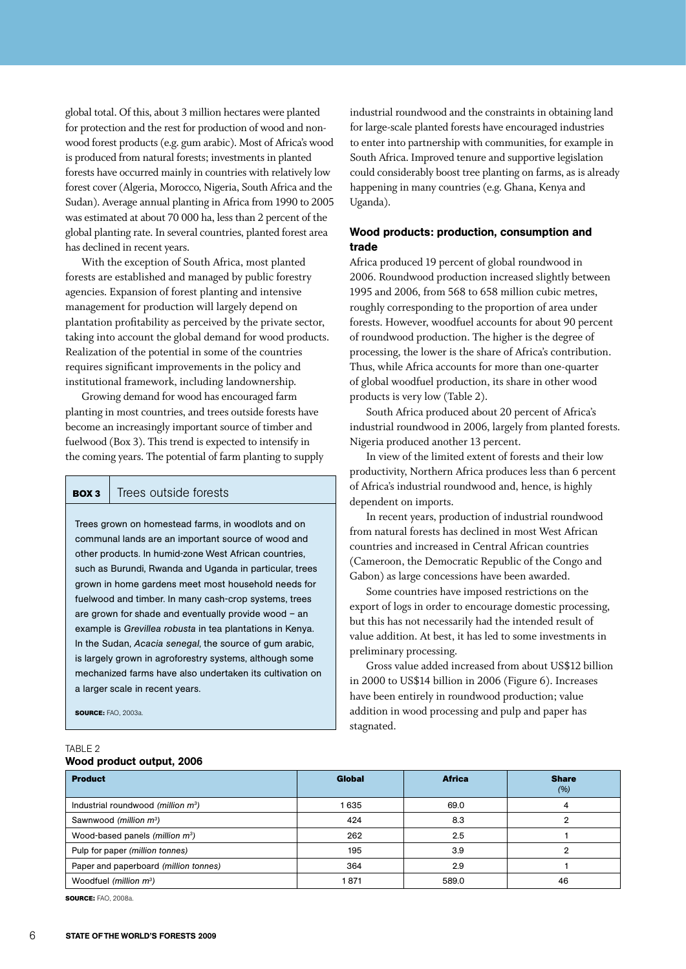global total. Of this, about 3 million hectares were planted for protection and the rest for production of wood and nonwood forest products (e.g. gum arabic). Most of Africa's wood is produced from natural forests; investments in planted forests have occurred mainly in countries with relatively low forest cover (Algeria, Morocco, Nigeria, South Africa and the Sudan). Average annual planting in Africa from 1990 to 2005 was estimated at about 70 000 ha, less than 2 percent of the global planting rate. In several countries, planted forest area has declined in recent years.

With the exception of South Africa, most planted forests are established and managed by public forestry agencies. Expansion of forest planting and intensive management for production will largely depend on plantation profitability as perceived by the private sector, taking into account the global demand for wood products. Realization of the potential in some of the countries requires significant improvements in the policy and institutional framework, including landownership.

Growing demand for wood has encouraged farm planting in most countries, and trees outside forests have become an increasingly important source of timber and fuelwood (Box 3). This trend is expected to intensify in the coming years. The potential of farm planting to supply

#### **BOX 3** | Trees outside forests

Trees grown on homestead farms, in woodlots and on communal lands are an important source of wood and other products. In humid-zone West African countries, such as Burundi, Rwanda and Uganda in particular, trees grown in home gardens meet most household needs for fuelwood and timber. In many cash-crop systems, trees are grown for shade and eventually provide wood – an example is *Grevillea robusta* in tea plantations in Kenya. In the Sudan, *Acacia senegal*, the source of gum arabic, is largely grown in agroforestry systems, although some mechanized farms have also undertaken its cultivation on a larger scale in recent years.

**source:** FAO, 2003a.

#### TABLE 2

#### Wood product output, 2006

industrial roundwood and the constraints in obtaining land for large-scale planted forests have encouraged industries to enter into partnership with communities, for example in South Africa. Improved tenure and supportive legislation could considerably boost tree planting on farms, as is already happening in many countries (e.g. Ghana, Kenya and Uganda).

#### Wood products: production, consumption and trade

Africa produced 19 percent of global roundwood in 2006. Roundwood production increased slightly between 1995 and 2006, from 568 to 658 million cubic metres, roughly corresponding to the proportion of area under forests. However, woodfuel accounts for about 90 percent of roundwood production. The higher is the degree of processing, the lower is the share of Africa's contribution. Thus, while Africa accounts for more than one-quarter of global woodfuel production, its share in other wood products is very low (Table 2).

South Africa produced about 20 percent of Africa's industrial roundwood in 2006, largely from planted forests. Nigeria produced another 13 percent.

In view of the limited extent of forests and their low productivity, Northern Africa produces less than 6 percent of Africa's industrial roundwood and, hence, is highly dependent on imports.

In recent years, production of industrial roundwood from natural forests has declined in most West African countries and increased in Central African countries (Cameroon, the Democratic Republic of the Congo and Gabon) as large concessions have been awarded.

Some countries have imposed restrictions on the export of logs in order to encourage domestic processing, but this has not necessarily had the intended result of value addition. At best, it has led to some investments in preliminary processing.

Gross value added increased from about US\$12 billion in 2000 to US\$14 billion in 2006 (Figure 6). Increases have been entirely in roundwood production; value addition in wood processing and pulp and paper has stagnated.

| <b>Product</b>                                 | Global | <b>Africa</b> | <b>Share</b><br>(%) |
|------------------------------------------------|--------|---------------|---------------------|
| Industrial roundwood (million m <sup>3</sup> ) | 1635   | 69.0          |                     |
| Sawnwood (million m <sup>3</sup> )             | 424    | 8.3           |                     |
| Wood-based panels (million $m^3$ )             | 262    | 2.5           |                     |
| Pulp for paper (million tonnes)                | 195    | 3.9           |                     |
| Paper and paperboard (million tonnes)          | 364    | 2.9           |                     |
| Woodfuel (million $m^3$ )                      | 871    | 589.0         | 46                  |

**source:** FAO, 2008a.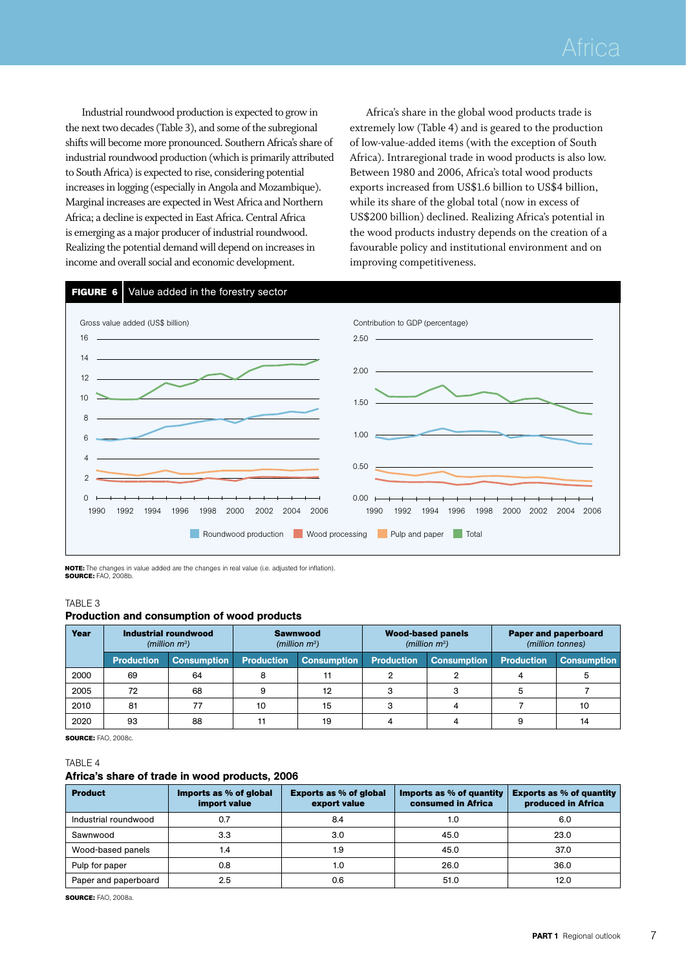Industrial roundwood production is expected to grow in the next two decades(Table 3), and some of the subregional shifts will become more pronounced. Southern Africa's share of industrial roundwood production (which is primarily attributed to South Africa) is expected to rise, considering potential increases in logging (especially in Angola and Mozambique). Marginal increases are expected in West Africa and Northern Africa; a decline is expected in East Africa. Central Africa is emerging as a major producer of industrial roundwood. Realizing the potential demand will depend on increases in income and overall social and economic development.

Africa's share in the global wood products trade is extremely low (Table 4) and is geared to the production of low-value-added items (with the exception of South Africa). Intraregional trade in wood products is also low. Between 1980 and 2006, Africa's total wood products exports increased from US\$1.6 billion to US\$4 billion, while its share of the global total (now in excess of US\$200 billion) declined. Realizing Africa's potential in the wood products industry depends on the creation of a favourable policy and institutional environment and on improving competitiveness.



**Note:** The changes in value added are the changes in real value (i.e. adjusted for inflation). **Source:** FAO, 2008b.

#### TABLE 3

#### Production and consumption of wood products

| Year | Industrial roundwood<br>(million $m^3$ ) |                    | <b>Sawnwood</b><br>(million $m^3$ ) |                    | <b>Wood-based panels</b><br>(million $m^3$ ) |                    | <b>Paper and paperboard</b><br>(million tonnes) |                    |
|------|------------------------------------------|--------------------|-------------------------------------|--------------------|----------------------------------------------|--------------------|-------------------------------------------------|--------------------|
|      | <b>Production</b>                        | <b>Consumption</b> | <b>Production</b>                   | <b>Consumption</b> | <b>Production</b>                            | <b>Consumption</b> | <b>Production</b>                               | <b>Consumption</b> |
| 2000 | 69                                       | 64                 | 8                                   |                    |                                              |                    |                                                 |                    |
| 2005 | 72                                       | 68                 | 9                                   | 12                 |                                              |                    |                                                 |                    |
| 2010 | 81                                       | 77                 | 10                                  | 15                 | з                                            | 4                  |                                                 | 10                 |
| 2020 | 93                                       | 88                 | 11                                  | 19                 |                                              |                    |                                                 | 14                 |

**source:** FAO, 2008c.

TABLE 4

#### Africa's share of trade in wood products, 2006

| <b>Product</b>       | Imports as % of global<br>import value | <b>Exports as % of global</b><br>export value | Imports as % of quantity<br>consumed in Africa | <b>Exports as % of quantity</b><br>produced in Africa |
|----------------------|----------------------------------------|-----------------------------------------------|------------------------------------------------|-------------------------------------------------------|
| Industrial roundwood | 0.7                                    | 8.4                                           | 1.0                                            | 6.0                                                   |
| Sawnwood             | 3.3                                    | 3.0                                           | 45.0                                           | 23.0                                                  |
| Wood-based panels    | 1.4                                    | 1.9                                           | 45.0                                           | 37.0                                                  |
| Pulp for paper       | 0.8                                    | 1.0                                           | 26.0                                           | 36.0                                                  |
| Paper and paperboard | 2.5                                    | 0.6                                           | 51.0                                           | 12.0                                                  |

**source:** FAO, 2008a.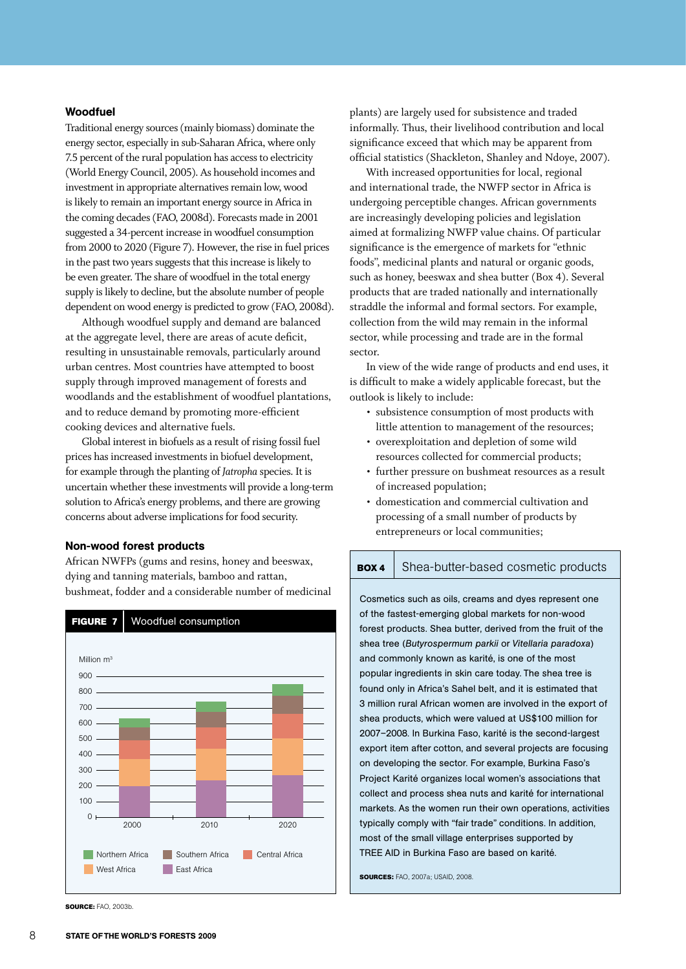#### Woodfuel

Traditional energy sources(mainly biomass) dominate the energy sector, especially in sub-Saharan Africa, where only 7.5 percent of the rural population has access to electricity (World Energy Council, 2005). As household incomes and investment in appropriate alternatives remain low, wood is likely to remain an important energy source in Africa in the coming decades(FAO, 2008d). Forecasts made in 2001 suggested a 34‑percent increase in woodfuel consumption from 2000 to 2020 (Figure 7). However, the rise in fuel prices in the past two years suggests that this increase is likely to be even greater. The share of woodfuel in the total energy supply is likely to decline, but the absolute number of people dependent on wood energy is predicted to grow (FAO, 2008d).

Although woodfuel supply and demand are balanced at the aggregate level, there are areas of acute deficit, resulting in unsustainable removals, particularly around urban centres. Most countries have attempted to boost supply through improved management of forests and woodlands and the establishment of woodfuel plantations, and to reduce demand by promoting more-efficient cooking devices and alternative fuels.

Global interest in biofuels as a result of rising fossil fuel prices has increased investments in biofuel development, for example through the planting of *Jatropha* species. It is uncertain whether these investments will provide a long-term solution to Africa's energy problems, and there are growing concerns about adverse implications for food security.

#### Non-wood forest products

African NWFPs (gums and resins, honey and beeswax, dying and tanning materials, bamboo and rattan, bushmeat, fodder and a considerable number of medicinal



**Source:** FAO, 2003b.

plants) are largely used for subsistence and traded informally. Thus, their livelihood contribution and local significance exceed that which may be apparent from official statistics (Shackleton, Shanley and Ndoye, 2007).

With increased opportunities for local, regional and international trade, the NWFP sector in Africa is undergoing perceptible changes. African governments are increasingly developing policies and legislation aimed at formalizing NWFP value chains. Of particular significance is the emergence of markets for "ethnic foods", medicinal plants and natural or organic goods, such as honey, beeswax and shea butter (Box 4). Several products that are traded nationally and internationally straddle the informal and formal sectors. For example, collection from the wild may remain in the informal sector, while processing and trade are in the formal sector.

In view of the wide range of products and end uses, it is difficult to make a widely applicable forecast, but the outlook is likely to include:

- subsistence consumption of most products with little attention to management of the resources;
- • overexploitation and depletion of some wild resources collected for commercial products;
- further pressure on bushmeat resources as a result of increased population;
- • domestication and commercial cultivation and processing of a small number of products by entrepreneurs or local communities;

#### **BOX 4** Shea-butter-based cosmetic products

Cosmetics such as oils, creams and dyes represent one of the fastest-emerging global markets for non-wood forest products. Shea butter, derived from the fruit of the shea tree (*Butyrospermum parkii* or *Vitellaria paradoxa*) and commonly known as karité, is one of the most popular ingredients in skin care today. The shea tree is found only in Africa's Sahel belt, and it is estimated that 3 million rural African women are involved in the export of shea products, which were valued at US\$100 million for 2007–2008. In Burkina Faso, karité is the second-largest export item after cotton, and several projects are focusing on developing the sector. For example, Burkina Faso's Project Karité organizes local women's associations that collect and process shea nuts and karité for international markets. As the women run their own operations, activities typically comply with "fair trade" conditions. In addition, most of the small village enterprises supported by TREE AID in Burkina Faso are based on karité.

**sources:** FAO, 2007a; USAID, 2008.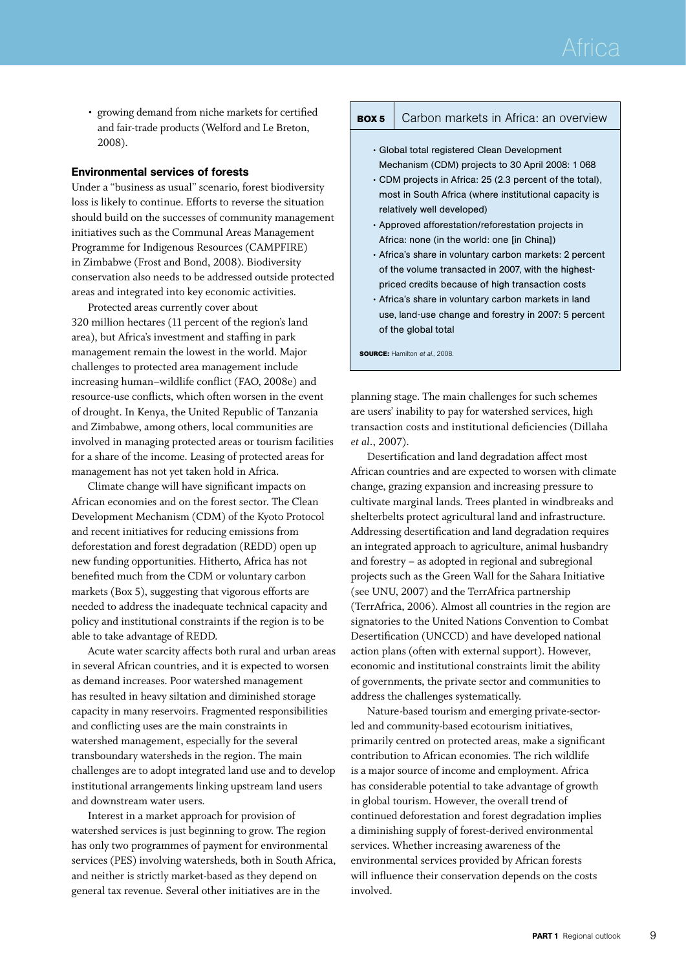

• growing demand from niche markets for certified and fair-trade products (Welford and Le Breton, 2008).

#### Environmental services of forests

Under a "business as usual" scenario, forest biodiversity loss is likely to continue. Efforts to reverse the situation should build on the successes of community management initiatives such as the Communal Areas Management Programme for Indigenous Resources (CAMPFIRE) in Zimbabwe (Frost and Bond, 2008). Biodiversity conservation also needs to be addressed outside protected areas and integrated into key economic activities.

Protected areas currently cover about 320 million hectares (11 percent of the region's land area), but Africa's investment and staffing in park management remain the lowest in the world. Major challenges to protected area management include increasing human–wildlife conflict (FAO, 2008e) and resource-use conflicts, which often worsen in the event of drought. In Kenya, the United Republic of Tanzania and Zimbabwe, among others, local communities are involved in managing protected areas or tourism facilities for a share of the income. Leasing of protected areas for management has not yet taken hold in Africa.

Climate change will have significant impacts on African economies and on the forest sector. The Clean Development Mechanism (CDM) of the Kyoto Protocol and recent initiatives for reducing emissions from deforestation and forest degradation (REDD) open up new funding opportunities. Hitherto, Africa has not benefited much from the CDM or voluntary carbon markets (Box 5), suggesting that vigorous efforts are needed to address the inadequate technical capacity and policy and institutional constraints if the region is to be able to take advantage of REDD.

Acute water scarcity affects both rural and urban areas in several African countries, and it is expected to worsen as demand increases. Poor watershed management has resulted in heavy siltation and diminished storage capacity in many reservoirs. Fragmented responsibilities and conflicting uses are the main constraints in watershed management, especially for the several transboundary watersheds in the region. The main challenges are to adopt integrated land use and to develop institutional arrangements linking upstream land users and downstream water users.

Interest in a market approach for provision of watershed services is just beginning to grow. The region has only two programmes of payment for environmental services (PES) involving watersheds, both in South Africa, and neither is strictly market-based as they depend on general tax revenue. Several other initiatives are in the

#### **BOX 5** Carbon markets in Africa: an overview

- • Global total registered Clean Development Mechanism (CDM) projects to 30 April 2008: 1 068
- • CDM projects in Africa: 25 (2.3 percent of the total), most in South Africa (where institutional capacity is relatively well developed)
- • Approved afforestation/reforestation projects in Africa: none (in the world: one [in China])
- • Africa's share in voluntary carbon markets: 2 percent of the volume transacted in 2007, with the highestpriced credits because of high transaction costs
- • Africa's share in voluntary carbon markets in land use, land-use change and forestry in 2007: 5 percent of the global total

**source:** Hamilton *et al.,* 2008.

planning stage. The main challenges for such schemes are users' inability to pay for watershed services, high transaction costs and institutional deficiencies (Dillaha *et al*., 2007).

Desertification and land degradation affect most African countries and are expected to worsen with climate change, grazing expansion and increasing pressure to cultivate marginal lands. Trees planted in windbreaks and shelterbelts protect agricultural land and infrastructure. Addressing desertification and land degradation requires an integrated approach to agriculture, animal husbandry and forestry – as adopted in regional and subregional projects such as the Green Wall for the Sahara Initiative (see UNU, 2007) and the TerrAfrica partnership (TerrAfrica, 2006). Almost all countries in the region are signatories to the United Nations Convention to Combat Desertification (UNCCD) and have developed national action plans (often with external support). However, economic and institutional constraints limit the ability of governments, the private sector and communities to address the challenges systematically.

Nature-based tourism and emerging private-sectorled and community-based ecotourism initiatives, primarily centred on protected areas, make a significant contribution to African economies. The rich wildlife is a major source of income and employment. Africa has considerable potential to take advantage of growth in global tourism. However, the overall trend of continued deforestation and forest degradation implies a diminishing supply of forest-derived environmental services. Whether increasing awareness of the environmental services provided by African forests will influence their conservation depends on the costs involved.